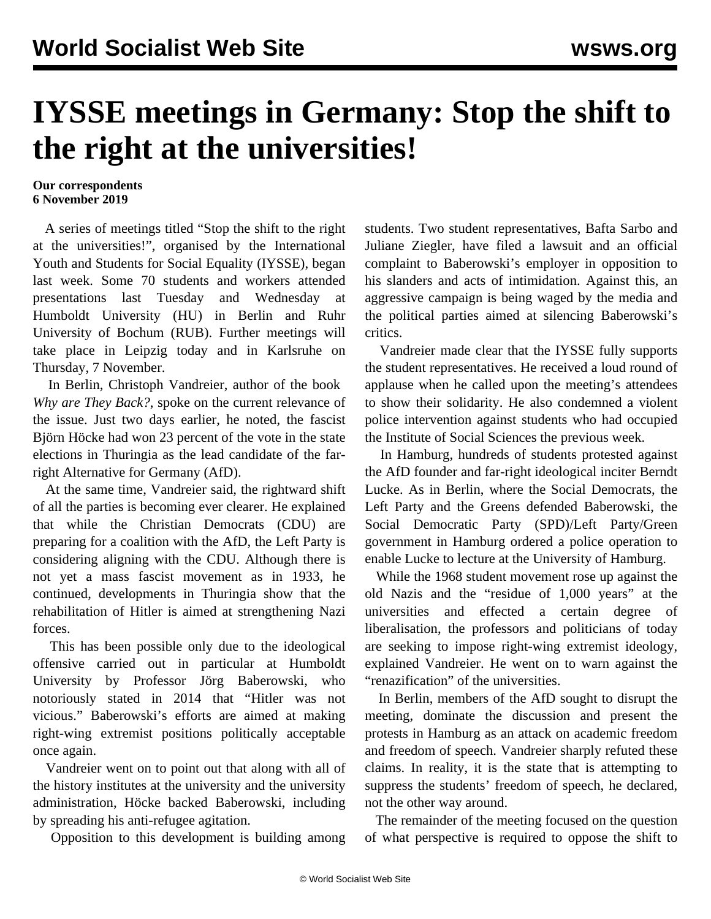## **IYSSE meetings in Germany: Stop the shift to the right at the universities!**

## **Our correspondents 6 November 2019**

 A series of meetings titled "Stop the shift to the right at the universities!", organised by the International Youth and Students for Social Equality (IYSSE), began last week. Some 70 students and workers attended presentations last Tuesday and Wednesday at Humboldt University (HU) in Berlin and Ruhr University of Bochum (RUB). Further meetings will take place in [Leipzig](https://www.facebook.com/events/948642298845940/) today and in [Karlsruhe](https://www.facebook.com/events/244511431) on Thursday, 7 November.

 In Berlin, Christoph Vandreier, author of the book *[Why are They Back?](https://www.gleichheit.de/bestellen/warum-sind-sie-wieder-da/)*, spoke on the current relevance of the issue. Just two days earlier, he noted, the fascist Björn Höcke had won 23 percent of the vote in the state elections in Thuringia as the lead candidate of the farright Alternative for Germany (AfD).

 At the same time, Vandreier said, the rightward shift of all the parties is becoming ever clearer. He explained that while the Christian Democrats (CDU) are preparing for a coalition with the AfD, the Left Party is considering aligning with the CDU. Although there is not yet a mass fascist movement as in 1933, he continued, developments in Thuringia show that the rehabilitation of Hitler is aimed at strengthening Nazi forces.

 This has been possible only due to the ideological offensive carried out in particular at Humboldt University by Professor Jörg Baberowski, who notoriously stated in 2014 that "Hitler was not vicious." Baberowski's efforts are aimed at making right-wing extremist positions politically acceptable once again.

 Vandreier went on to point out that along with all of the history institutes at the university and the university administration, Höcke backed Baberowski, including by spreading his anti-refugee agitation.

Opposition to this development is building among

students. Two student representatives, Bafta Sarbo and Juliane Ziegler, have filed a lawsuit and an official complaint to Baberowski's employer in opposition to his slanders and acts of intimidation. Against this, an aggressive [campaign](/de/articles/2019/10/24/babe-o24.html) is being waged by the media and the political parties aimed at silencing Baberowski's critics.

 Vandreier made clear that the IYSSE fully supports the student representatives. He received a loud round of applause when he called upon the meeting's attendees to show their solidarity. He also condemned a violent police intervention against students who had occupied the Institute of Social Sciences the previous week.

 In Hamburg, hundreds of students protested against the AfD founder and far-right ideological inciter Berndt Lucke. As in Berlin, where the Social Democrats, the Left Party and the Greens defended Baberowski, the Social Democratic Party (SPD)/Left Party/Green government in Hamburg ordered a police operation to enable Lucke to lecture at the University of Hamburg.

 While the 1968 student movement rose up against the old Nazis and the "residue of 1,000 years" at the universities and effected a certain degree of liberalisation, the professors and politicians of today are seeking to impose right-wing extremist ideology, explained Vandreier. He went on to warn against the "renazification" of the universities.

 In Berlin, members of the AfD sought to disrupt the meeting, dominate the discussion and present the protests in Hamburg as an attack on academic freedom and freedom of speech. Vandreier sharply refuted these claims. In reality, it is the state that is attempting to suppress the students' freedom of speech, he declared, not the other way around.

 The remainder of the meeting focused on the question of what perspective is required to oppose the shift to